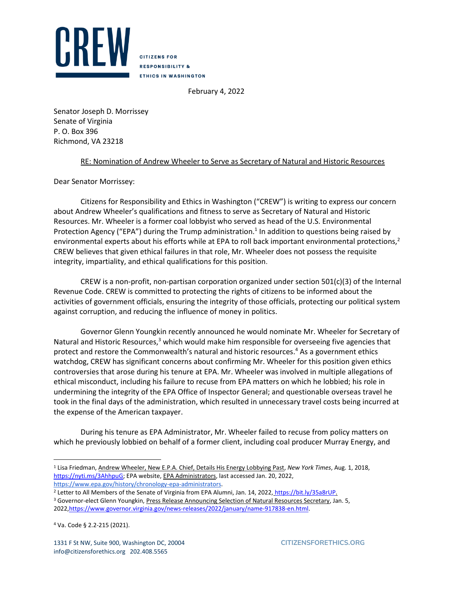

**CITIZENS FOR RESPONSIBILITY & ETHICS IN WASHINGTON** 

February 4, 2022

Senator Joseph D. Morrissey Senate of Virginia P. O. Box 396 Richmond, VA 23218

## RE: Nomination of Andrew Wheeler to Serve as Secretary of Natural and Historic Resources

Dear Senator Morrissey:

Citizens for Responsibility and Ethics in Washington ("CREW") is writing to express our concern about Andrew Wheeler's qualifications and fitness to serve as Secretary of Natural and Historic Resources. Mr. Wheeler is a former coal lobbyist who served as head of the U.S. Environmental Protection Agency ("EPA") during the Trump administration.<sup>1</sup> In addition to questions being raised by environmental experts about his efforts while at EPA to roll back important environmental protections,<sup>2</sup> CREW believes that given ethical failures in that role, Mr. Wheeler does not possess the requisite integrity, impartiality, and ethical qualifications for this position.

CREW is a non-profit, non-partisan corporation organized under section  $501(c)(3)$  of the Internal Revenue Code. CREW is committed to protecting the rights of citizens to be informed about the activities of government officials, ensuring the integrity of those officials, protecting our political system against corruption, and reducing the influence of money in politics.

Governor Glenn Youngkin recently announced he would nominate Mr. Wheeler for Secretary of Natural and Historic Resources,<sup>3</sup> which would make him responsible for overseeing five agencies that protect and restore the Commonwealth's natural and historic resources. <sup>4</sup> As a government ethics watchdog, CREW has significant concerns about confirming Mr. Wheeler for this position given ethics controversies that arose during his tenure at EPA. Mr. Wheeler was involved in multiple allegations of ethical misconduct, including his failure to recuse from EPA matters on which he lobbied; his role in undermining the integrity of the EPA Office of Inspector General; and questionable overseas travel he took in the final days of the administration, which resulted in unnecessary travel costs being incurred at the expense of the American taxpayer.

During his tenure as EPA Administrator, Mr. Wheeler failed to recuse from policy matters on which he previously lobbied on behalf of a former client, including coal producer Murray Energy, and

<sup>2</sup> Letter to All Members of the Senate of Virginia from EPA Alumni, Jan. 14, 2022[,](https://www.scribd.com/document/552899836/1-14-2022-Wheeler-Letter-to-Virginia-Senators-From-EPA-Alumni-FINAL) <https://bit.ly/35a8rUP>[.](https://www.scribd.com/document/552899836/1-14-2022-Wheeler-Letter-to-Virginia-Senators-From-EPA-Alumni-FINAL) 

<sup>1</sup> Lisa Friedman, Andrew Wheeler, New E.P.A. Chief, Details His Energy Lobbying Past, *New York Times*, Aug. 1, 2018, [https://nyti.ms/3AhhpuG;](https://nyti.ms/3AhhpuG) EPA website, EPA Administrators, last accessed Jan. 20, 2022, [https://www.epa.gov/history/chronology-epa-administrators.](https://www.epa.gov/history/chronology-epa-administrators)

<sup>&</sup>lt;sup>3</sup> Governor-elect Glenn Youngkin, Press Release Announcing Selection of Natural Resources Secretary, Jan. 5, 2022, https://www.governor.virginia.gov/news-releases/2022/january/name-917838-en.html.

<sup>4</sup> Va. Code § 2.2-215 (2021).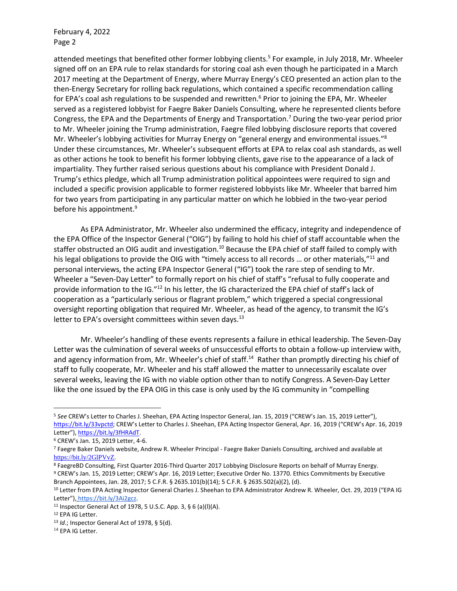February 4, 2022 Page 2

attended meetings that benefited other former lobbying clients.<sup>5</sup> For example, in July 2018, Mr. Wheeler signed off on an EPA rule to relax standards for storing coal ash even though he participated in a March 2017 meeting at the Department of Energy, where Murray Energy's CEO presented an action plan to the then-Energy Secretary for rolling back regulations, which contained a specific recommendation calling for EPA's coal ash regulations to be suspended and rewritten.<sup>6</sup> Prior to joining the EPA, Mr. Wheeler served as a registered lobbyist for Faegre Baker Daniels Consulting, where he represented clients before Congress, the EPA and the Departments of Energy and Transportation.<sup>7</sup> During the two-year period prior to Mr. Wheeler joining the Trump administration, Faegre filed lobbying disclosure reports that covered Mr. Wheeler's lobbying activities for Murray Energy on "general energy and environmental issues."<sup>8</sup> Under these circumstances, Mr. Wheeler's subsequent efforts at EPA to relax coal ash standards, as well as other actions he took to benefit his former lobbying clients, gave rise to the appearance of a lack of impartiality. They further raised serious questions about his compliance with President Donald J. Trump's ethics pledge, which all Trump administration political appointees were required to sign and included a specific provision applicable to former registered lobbyists like Mr. Wheeler that barred him for two years from participating in any particular matter on which he lobbied in the two-year period before his appointment.<sup>9</sup>

As EPA Administrator, Mr. Wheeler also undermined the efficacy, integrity and independence of the EPA Office of the Inspector General ("OIG") by failing to hold his chief of staff accountable when the staffer obstructed an OIG audit and investigation.<sup>10</sup> Because the EPA chief of staff failed to comply with his legal obligations to provide the OIG with "timely access to all records ... or other materials,"<sup>11</sup> and personal interviews, the acting EPA Inspector General ("IG") took the rare step of sending to Mr. Wheeler a "Seven-Day Letter" to formally report on his chief of staff's "refusal to fully cooperate and provide information to the IG."<sup>12</sup> In his letter, the IG characterized the EPA chief of staff's lack of cooperation as a "particularly serious or flagrant problem," which triggered a special congressional oversight reporting obligation that required Mr. Wheeler, as head of the agency, to transmit the IG's letter to EPA's oversight committees within seven days.<sup>13</sup>

Mr. Wheeler's handling of these events represents a failure in ethical leadership. The Seven-Day Letter was the culmination of several weeks of unsuccessful efforts to obtain a follow-up interview with, and agency information from, Mr. Wheeler's chief of staff.<sup>14</sup> Rather than promptly directing his chief of staff to fully cooperate, Mr. Wheeler and his staff allowed the matter to unnecessarily escalate over several weeks, leaving the IG with no viable option other than to notify Congress. A Seven-Day Letter like the one issued by the EPA OIG in this case is only used by the IG community in "compelling

<sup>5</sup> *See* CREW's Letter to Charles J. Sheehan, EPA Acting Inspector General, Jan. 15, 2019 ("CREW's Jan. 15, 2019 Letter"), <https://bit.ly/33vpctd>; CREW's Letter to Charles J. Sheehan, EPA Acting Inspector General, Apr. 16, 2019 ("CREW's Apr. 16, 2019 Letter"), [https://bit.ly/3fHRAdT.](https://bit.ly/3fHRAdT)

<sup>6</sup> CREW's Jan. 15, 2019 Letter, 4-6.

<sup>7</sup> Faegre Baker Daniels website, Andrew R. Wheeler Principal - Faegre Baker Daniels Consulting, archived and available at <https://bit.ly/2GlPVvZ>.

<sup>8</sup> FaegreBD Consulting, First Quarter 2016-Third Quarter 2017 Lobbying Disclosure Reports on behalf of Murray Energy. <sup>9</sup> CREW's Jan. 15, 2019 Letter; CREW's Apr. 16, 2019 Letter; Executive Order No. 13770. Ethics Commitments by Executive Branch Appointees, Jan. 28, 2017; 5 C.F.R. § 2635.101(b)(14); 5 C.F.R. § 2635.502(a)(2), (d).

<sup>10</sup> Letter from EPA Acting Inspector General Charles J. Sheehan to EPA Administrator Andrew R. Wheeler, Oct. 29, 2019 ("EPA IG Letter"[\),](https://www.epa.gov/sites/default/files/2019-11/documents/_epaoig_7dayletter_11-6-19.pdf) [https://bit.ly/3Ai2gcz.](https://bit.ly/3Ai2gcz)

<sup>&</sup>lt;sup>11</sup> Inspector General Act of 1978, 5 U.S.C. App. 3, § 6 (a)(l)(A).

<sup>12</sup> EPA IG Letter.

<sup>13</sup> *Id*.; Inspector General Act of 1978, § 5(d).

<sup>&</sup>lt;sup>14</sup> EPA IG Letter.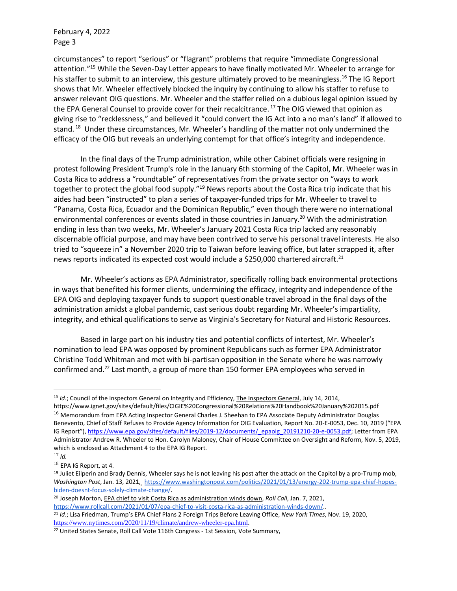February 4, 2022 Page 3

circumstances" to report "serious" or "flagrant" problems that require "immediate Congressional attention." <sup>15</sup> While the Seven-Day Letter appears to have finally motivated Mr. Wheeler to arrange for his staffer to submit to an interview, this gesture ultimately proved to be meaningless.<sup>16</sup> The IG Report shows that Mr. Wheeler effectively blocked the inquiry by continuing to allow his staffer to refuse to answer relevant OIG questions. Mr. Wheeler and the staffer relied on a dubious legal opinion issued by the EPA General Counsel to provide cover for their recalcitrance.<sup>17</sup> The OIG viewed that opinion as giving rise to "recklessness," and believed it "could convert the IG Act into a no man's land" if allowed to stand. <sup>18</sup> Under these circumstances, Mr. Wheeler's handling of the matter not only undermined the efficacy of the OIG but reveals an underlying contempt for that office's integrity and independence.

In the final days of the Trump administration, while other Cabinet officials were resigning in protest following President Trump's role in the January 6th storming of the Capitol, Mr. Wheeler was in Costa Rica to address a "roundtable" of representatives from the private sector on "ways to work together to protect the global food supply."<sup>19</sup> News reports about the Costa Rica trip indicate that his aides had been "instructed" to plan a series of taxpayer-funded trips for Mr. Wheeler to travel to "Panama, Costa Rica, Ecuador and the Dominican Republic," even though there were no international environmental conferences or events slated in those countries in January.<sup>20</sup> With the administration ending in less than two weeks, Mr. Wheeler's January 2021 Costa Rica trip lacked any reasonably discernable official purpose, and may have been contrived to serve his personal travel interests. He also tried to "squeeze in" a November 2020 trip to Taiwan before leaving office, but later scrapped it, after news reports indicated its expected cost would include a \$250,000 chartered aircraft.<sup>21</sup>

Mr. Wheeler's actions as EPA Administrator, specifically rolling back environmental protections in ways that benefited his former clients, undermining the efficacy, integrity and independence of the EPA OIG and deploying taxpayer funds to support questionable travel abroad in the final days of the administration amidst a global pandemic, cast serious doubt regarding Mr. Wheeler's impartiality, integrity, and ethical qualifications to serve as Virginia's Secretary for Natural and Historic Resources.

Based in large part on his industry ties and potential conflicts of intertest, Mr. Wheeler's nomination to lead EPA was opposed by prominent Republicans such as former EPA Administrator Christine Todd Whitman and met with bi-partisan opposition in the Senate where he was narrowly confirmed and.<sup>22</sup> Last month, a group of more than 150 former EPA employees who served in

<sup>&</sup>lt;sup>15</sup> *Id.*; Council of the Inspectors General on Integrity and Efficiency, The Inspectors General, July 14, 2014,

https://www.ignet.gov/sites/default/files/CIGIE%20Congressional%20Relations%20Handbook%20January%202015.pdf <sup>16</sup> Memorandum from EPA Acting Inspector General Charles J. Sheehan to EPA Associate Deputy Administrator Douglas Benevento, Chief of Staff Refuses to Provide Agency Information for OIG Evaluation, Report No. 20-E-0053, Dec. 10, 2019 ("EPA IG Report"), [https://www.epa.gov/sites/default/files/2019-12/documents/\\_epaoig\\_20191210-20-e-0053.pdf;](https://www.epa.gov/sites/default/files/2019-12/documents/_epaoig_20191210-20-e-0053.pdf) Letter from EPA Administrator Andrew R. Wheeler to Hon. Carolyn Maloney, Chair of House Committee on Oversight and Reform, Nov. 5, 2019, which is enclosed as Attachment 4 to the EPA IG Report.

<sup>17</sup> *Id.*

<sup>18</sup> EPA IG Report, at 4.

<sup>&</sup>lt;sup>19</sup> Juliet Eilperin and Brady Dennis, Wheeler says he is not leaving his post after the attack on the Capitol by a pro-Trump mob, *Washington Post*, Jan. 13, 202[1,](https://www.rollcall.com/2021/01/07/epa-chief-to-visit-costa-rica-as-administration-winds-down/) https://www.washingtonpost.com/politics/2021/01/13/energy-202-trump-epa-chief-hopesbiden-doesnt-focus-solely-climate-change/.

<sup>20</sup> Joseph Morton, EPA chief to visit Costa Rica as administration winds down, *Roll Call*, Jan. 7, 202[1,](https://www.rollcall.com/2021/01/07/epa-chief-to-visit-costa-rica-as-administration-winds-down/)

[https://www.rollcall.com/2021/01/07/epa-chief-to-visit-costa-rica-as-administration-winds-down/.](https://www.rollcall.com/2021/01/07/epa-chief-to-visit-costa-rica-as-administration-winds-down/)*.* <sup>21</sup> *Id*.; Lisa Friedman, Trump's EPA Chief Plans 2 Foreign Trips Before Leaving Office, *New York Times*, Nov. 19, 2020, <https://www.nytimes.com/2020/11/19/climate/andrew-wheeler-epa.html>.

<sup>22</sup> United States Senate, Roll Call Vote 116th Congress - 1st Session, Vote Summary,